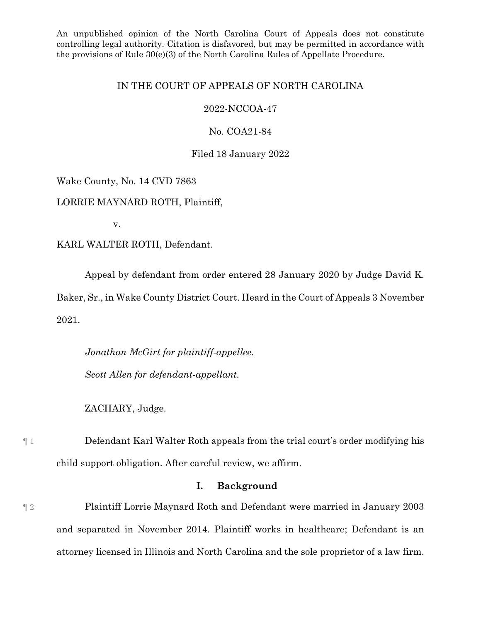An unpublished opinion of the North Carolina Court of Appeals does not constitute controlling legal authority. Citation is disfavored, but may be permitted in accordance with the provisions of Rule 30(e)(3) of the North Carolina Rules of Appellate Procedure.

# IN THE COURT OF APPEALS OF NORTH CAROLINA

# 2022-NCCOA-47

# No. COA21-84

### Filed 18 January 2022

# Wake County, No. 14 CVD 7863

LORRIE MAYNARD ROTH, Plaintiff,

v.

# KARL WALTER ROTH, Defendant.

Appeal by defendant from order entered 28 January 2020 by Judge David K.

Baker, Sr., in Wake County District Court. Heard in the Court of Appeals 3 November 2021.

*Jonathan McGirt for plaintiff-appellee. Scott Allen for defendant-appellant.*

ZACHARY, Judge.

¶ 1 Defendant Karl Walter Roth appeals from the trial court's order modifying his child support obligation. After careful review, we affirm.

# **I. Background**

¶ 2 Plaintiff Lorrie Maynard Roth and Defendant were married in January 2003 and separated in November 2014. Plaintiff works in healthcare; Defendant is an attorney licensed in Illinois and North Carolina and the sole proprietor of a law firm.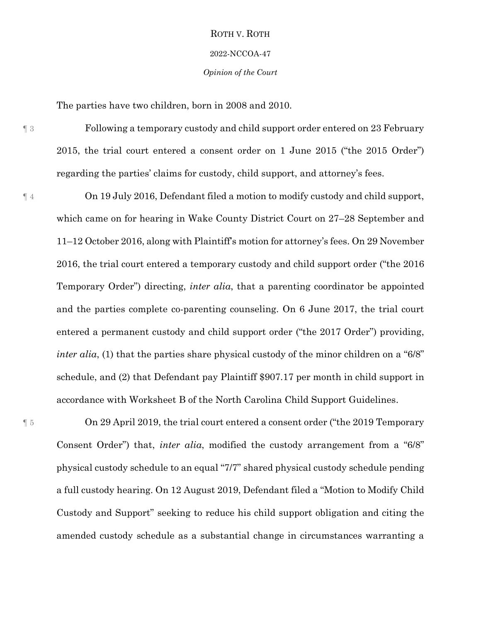#### 2022-NCCOA-47

*Opinion of the Court*

The parties have two children, born in 2008 and 2010.

¶ 3 Following a temporary custody and child support order entered on 23 February 2015, the trial court entered a consent order on 1 June 2015 ("the 2015 Order") regarding the parties' claims for custody, child support, and attorney's fees.

¶ 4 On 19 July 2016, Defendant filed a motion to modify custody and child support, which came on for hearing in Wake County District Court on 27–28 September and 11–12 October 2016, along with Plaintiff's motion for attorney's fees. On 29 November 2016, the trial court entered a temporary custody and child support order ("the 2016 Temporary Order") directing, *inter alia*, that a parenting coordinator be appointed and the parties complete co-parenting counseling. On 6 June 2017, the trial court entered a permanent custody and child support order ("the 2017 Order") providing, *inter alia*, (1) that the parties share physical custody of the minor children on a "6/8" schedule, and (2) that Defendant pay Plaintiff \$907.17 per month in child support in accordance with Worksheet B of the North Carolina Child Support Guidelines.

¶ 5 On 29 April 2019, the trial court entered a consent order ("the 2019 Temporary Consent Order") that, *inter alia*, modified the custody arrangement from a "6/8" physical custody schedule to an equal "7/7" shared physical custody schedule pending a full custody hearing. On 12 August 2019, Defendant filed a "Motion to Modify Child Custody and Support" seeking to reduce his child support obligation and citing the amended custody schedule as a substantial change in circumstances warranting a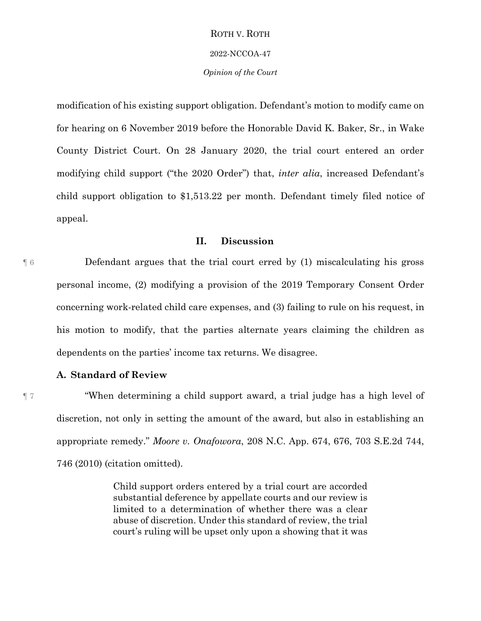#### 2022-NCCOA-47

#### *Opinion of the Court*

modification of his existing support obligation. Defendant's motion to modify came on for hearing on 6 November 2019 before the Honorable David K. Baker, Sr., in Wake County District Court. On 28 January 2020, the trial court entered an order modifying child support ("the 2020 Order") that, *inter alia*, increased Defendant's child support obligation to \$1,513.22 per month. Defendant timely filed notice of appeal.

# **II. Discussion**

¶ 6 Defendant argues that the trial court erred by (1) miscalculating his gross personal income, (2) modifying a provision of the 2019 Temporary Consent Order concerning work-related child care expenses, and (3) failing to rule on his request, in his motion to modify, that the parties alternate years claiming the children as dependents on the parties' income tax returns. We disagree.

# **A. Standard of Review**

¶ 7 "When determining a child support award, a trial judge has a high level of discretion, not only in setting the amount of the award, but also in establishing an appropriate remedy." *Moore v. Onafowora*, 208 N.C. App. 674, 676, 703 S.E.2d 744, 746 (2010) (citation omitted).

> Child support orders entered by a trial court are accorded substantial deference by appellate courts and our review is limited to a determination of whether there was a clear abuse of discretion. Under this standard of review, the trial court's ruling will be upset only upon a showing that it was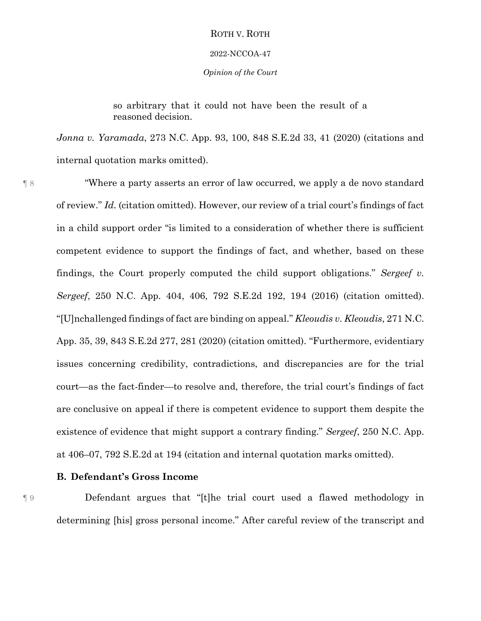#### 2022-NCCOA-47

#### *Opinion of the Court*

so arbitrary that it could not have been the result of a reasoned decision.

*Jonna v. Yaramada*, 273 N.C. App. 93, 100, 848 S.E.2d 33, 41 (2020) (citations and internal quotation marks omitted).

¶ 8 "Where a party asserts an error of law occurred, we apply a de novo standard of review." *Id.* (citation omitted). However, our review of a trial court's findings of fact in a child support order "is limited to a consideration of whether there is sufficient competent evidence to support the findings of fact, and whether, based on these findings, the Court properly computed the child support obligations." *Sergeef v. Sergeef*, 250 N.C. App. 404, 406, 792 S.E.2d 192, 194 (2016) (citation omitted). "[U]nchallenged findings of fact are binding on appeal." *Kleoudis v. Kleoudis*, 271 N.C. App. 35, 39, 843 S.E.2d 277, 281 (2020) (citation omitted). "Furthermore, evidentiary issues concerning credibility, contradictions, and discrepancies are for the trial court—as the fact-finder—to resolve and, therefore, the trial court's findings of fact are conclusive on appeal if there is competent evidence to support them despite the existence of evidence that might support a contrary finding." *Sergeef*, 250 N.C. App. at 406–07, 792 S.E.2d at 194 (citation and internal quotation marks omitted).

# **B. Defendant's Gross Income**

¶ 9 Defendant argues that "[t]he trial court used a flawed methodology in determining [his] gross personal income." After careful review of the transcript and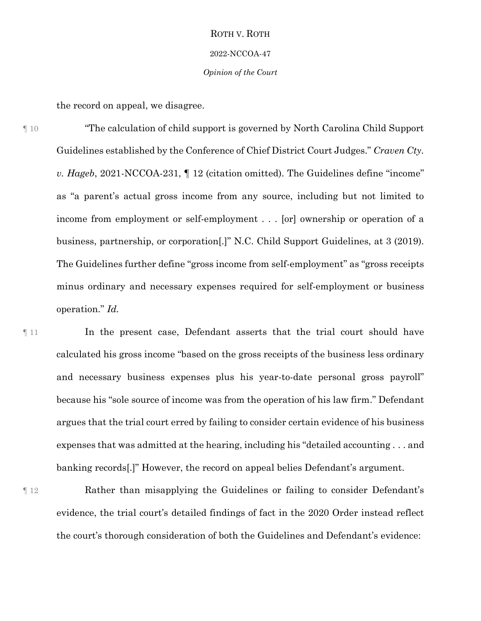#### 2022-NCCOA-47

#### *Opinion of the Court*

the record on appeal, we disagree.

¶ 10 "The calculation of child support is governed by North Carolina Child Support Guidelines established by the Conference of Chief District Court Judges." *Craven Cty. v. Hageb*, 2021-NCCOA-231, ¶ 12 (citation omitted). The Guidelines define "income" as "a parent's actual gross income from any source, including but not limited to income from employment or self-employment . . . [or] ownership or operation of a business, partnership, or corporation[.]" N.C. Child Support Guidelines, at 3 (2019). The Guidelines further define "gross income from self-employment" as "gross receipts minus ordinary and necessary expenses required for self-employment or business operation." *Id.*

¶ 11 In the present case, Defendant asserts that the trial court should have calculated his gross income "based on the gross receipts of the business less ordinary and necessary business expenses plus his year-to-date personal gross payroll" because his "sole source of income was from the operation of his law firm." Defendant argues that the trial court erred by failing to consider certain evidence of his business expenses that was admitted at the hearing, including his "detailed accounting . . . and banking records[.]" However, the record on appeal belies Defendant's argument.

¶ 12 Rather than misapplying the Guidelines or failing to consider Defendant's evidence, the trial court's detailed findings of fact in the 2020 Order instead reflect the court's thorough consideration of both the Guidelines and Defendant's evidence: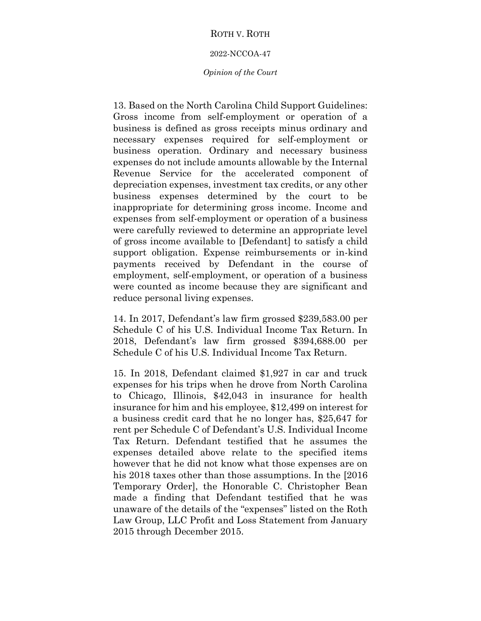#### 2022-NCCOA-47

#### *Opinion of the Court*

13. Based on the North Carolina Child Support Guidelines: Gross income from self-employment or operation of a business is defined as gross receipts minus ordinary and necessary expenses required for self-employment or business operation. Ordinary and necessary business expenses do not include amounts allowable by the Internal Revenue Service for the accelerated component of depreciation expenses, investment tax credits, or any other business expenses determined by the court to be inappropriate for determining gross income. Income and expenses from self-employment or operation of a business were carefully reviewed to determine an appropriate level of gross income available to [Defendant] to satisfy a child support obligation. Expense reimbursements or in-kind payments received by Defendant in the course of employment, self-employment, or operation of a business were counted as income because they are significant and reduce personal living expenses.

14. In 2017, Defendant's law firm grossed \$239,583.00 per Schedule C of his U.S. Individual Income Tax Return. In 2018, Defendant's law firm grossed \$394,688.00 per Schedule C of his U.S. Individual Income Tax Return.

15. In 2018, Defendant claimed \$1,927 in car and truck expenses for his trips when he drove from North Carolina to Chicago, Illinois, \$42,043 in insurance for health insurance for him and his employee, \$12,499 on interest for a business credit card that he no longer has, \$25,647 for rent per Schedule C of Defendant's U.S. Individual Income Tax Return. Defendant testified that he assumes the expenses detailed above relate to the specified items however that he did not know what those expenses are on his 2018 taxes other than those assumptions. In the [2016 Temporary Order], the Honorable C. Christopher Bean made a finding that Defendant testified that he was unaware of the details of the "expenses" listed on the Roth Law Group, LLC Profit and Loss Statement from January 2015 through December 2015.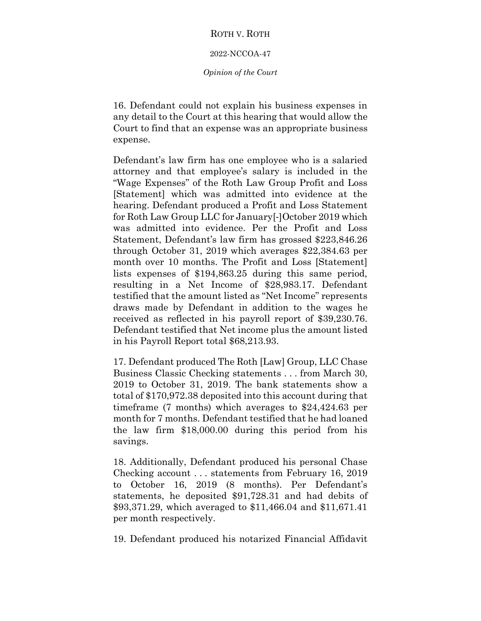#### 2022-NCCOA-47

#### *Opinion of the Court*

16. Defendant could not explain his business expenses in any detail to the Court at this hearing that would allow the Court to find that an expense was an appropriate business expense.

Defendant's law firm has one employee who is a salaried attorney and that employee's salary is included in the "Wage Expenses" of the Roth Law Group Profit and Loss [Statement] which was admitted into evidence at the hearing. Defendant produced a Profit and Loss Statement for Roth Law Group LLC for January[‐]October 2019 which was admitted into evidence. Per the Profit and Loss Statement, Defendant's law firm has grossed \$223,846.26 through October 31, 2019 which averages \$22,384.63 per month over 10 months. The Profit and Loss [Statement] lists expenses of \$194,863.25 during this same period, resulting in a Net Income of \$28,983.17. Defendant testified that the amount listed as "Net Income" represents draws made by Defendant in addition to the wages he received as reflected in his payroll report of \$39,230.76. Defendant testified that Net income plus the amount listed in his Payroll Report total \$68,213.93.

17. Defendant produced The Roth [Law] Group, LLC Chase Business Classic Checking statements . . . from March 30, 2019 to October 31, 2019. The bank statements show a total of \$170,972.38 deposited into this account during that timeframe (7 months) which averages to \$24,424.63 per month for 7 months. Defendant testified that he had loaned the law firm \$18,000.00 during this period from his savings.

18. Additionally, Defendant produced his personal Chase Checking account . . . statements from February 16, 2019 to October 16, 2019 (8 months). Per Defendant's statements, he deposited \$91,728.31 and had debits of \$93,371.29, which averaged to \$11,466.04 and \$11,671.41 per month respectively.

19. Defendant produced his notarized Financial Affidavit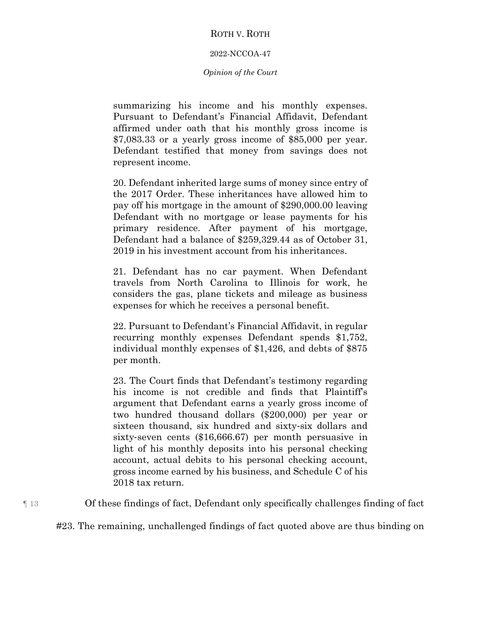# 2022-NCCOA-47

# *Opinion of the Court*

summarizing his income and his monthly expenses. Pursuant to Defendant's Financial Affidavit, Defendant affirmed under oath that his monthly gross income is \$7,083.33 or a yearly gross income of \$85,000 per year. Defendant testified that money from savings does not represent income.

20. Defendant inherited large sums of money since entry of the 2017 Order. These inheritances have allowed him to pay off his mortgage in the amount of \$290,000.00 leaving Defendant with no mortgage or lease payments for his primary residence. After payment of his mortgage, Defendant had a balance of \$259,329.44 as of October 31, 2019 in his investment account from his inheritances.

21. Defendant has no car payment. When Defendant travels from North Carolina to Illinois for work, he considers the gas, plane tickets and mileage as business expenses for which he receives a personal benefit.

22. Pursuant to Defendant's Financial Affidavit, in regular recurring monthly expenses Defendant spends \$1,752, individual monthly expenses of \$1,426, and debts of \$875 per month.

23. The Court finds that Defendant's testimony regarding his income is not credible and finds that Plaintiff's argument that Defendant earns a yearly gross income of two hundred thousand dollars (\$200,000) per year or sixteen thousand, six hundred and sixty‐six dollars and sixty‐seven cents (\$16,666.67) per month persuasive in light of his monthly deposits into his personal checking account, actual debits to his personal checking account, gross income earned by his business, and Schedule C of his 2018 tax return.

¶ 13 Of these findings of fact, Defendant only specifically challenges finding of fact

#23. The remaining, unchallenged findings of fact quoted above are thus binding on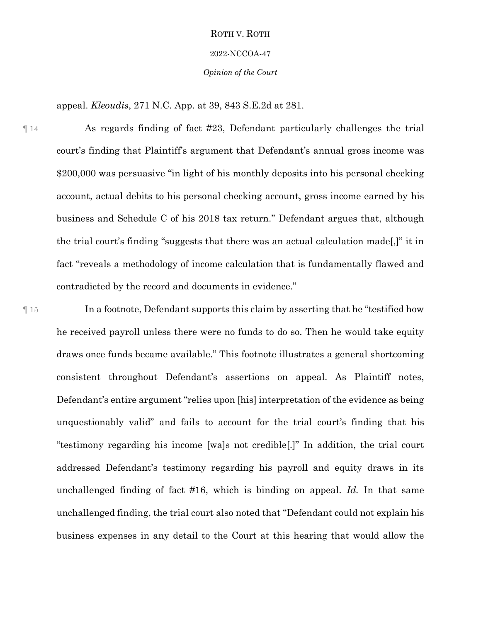#### 2022-NCCOA-47

*Opinion of the Court*

appeal. *Kleoudis*, 271 N.C. App. at 39, 843 S.E.2d at 281.

¶ 14 As regards finding of fact #23, Defendant particularly challenges the trial court's finding that Plaintiff's argument that Defendant's annual gross income was \$200,000 was persuasive "in light of his monthly deposits into his personal checking account, actual debits to his personal checking account, gross income earned by his business and Schedule C of his 2018 tax return." Defendant argues that, although the trial court's finding "suggests that there was an actual calculation made[,]" it in fact "reveals a methodology of income calculation that is fundamentally flawed and contradicted by the record and documents in evidence."

¶ 15 In a footnote, Defendant supports this claim by asserting that he "testified how he received payroll unless there were no funds to do so. Then he would take equity draws once funds became available." This footnote illustrates a general shortcoming consistent throughout Defendant's assertions on appeal. As Plaintiff notes, Defendant's entire argument "relies upon [his] interpretation of the evidence as being unquestionably valid" and fails to account for the trial court's finding that his "testimony regarding his income [wa]s not credible[.]" In addition, the trial court addressed Defendant's testimony regarding his payroll and equity draws in its unchallenged finding of fact #16, which is binding on appeal. *Id.* In that same unchallenged finding, the trial court also noted that "Defendant could not explain his business expenses in any detail to the Court at this hearing that would allow the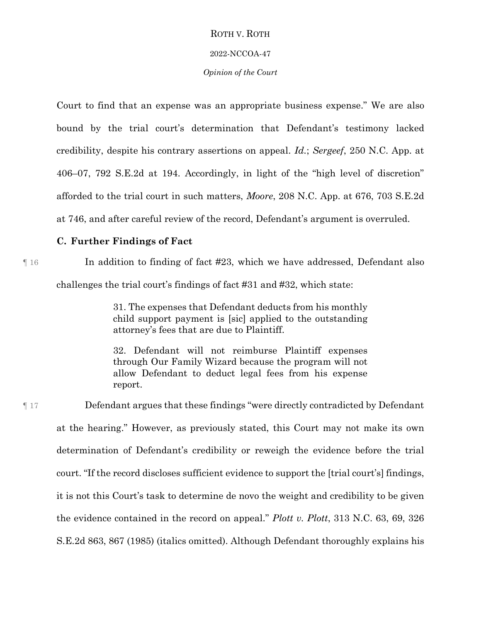#### 2022-NCCOA-47

#### *Opinion of the Court*

Court to find that an expense was an appropriate business expense." We are also bound by the trial court's determination that Defendant's testimony lacked credibility, despite his contrary assertions on appeal. *Id.*; *Sergeef*, 250 N.C. App. at 406–07, 792 S.E.2d at 194. Accordingly, in light of the "high level of discretion" afforded to the trial court in such matters, *Moore*, 208 N.C. App. at 676, 703 S.E.2d at 746, and after careful review of the record, Defendant's argument is overruled.

# **C. Further Findings of Fact**

# ¶ 16 In addition to finding of fact #23, which we have addressed, Defendant also challenges the trial court's findings of fact #31 and #32, which state:

31. The expenses that Defendant deducts from his monthly child support payment is [sic] applied to the outstanding attorney's fees that are due to Plaintiff.

32. Defendant will not reimburse Plaintiff expenses through Our Family Wizard because the program will not allow Defendant to deduct legal fees from his expense report.

¶ 17 Defendant argues that these findings "were directly contradicted by Defendant at the hearing." However, as previously stated, this Court may not make its own determination of Defendant's credibility or reweigh the evidence before the trial court. "If the record discloses sufficient evidence to support the [trial court's] findings, it is not this Court's task to determine de novo the weight and credibility to be given the evidence contained in the record on appeal." *Plott v. Plott*, 313 N.C. 63, 69, 326 S.E.2d 863, 867 (1985) (italics omitted). Although Defendant thoroughly explains his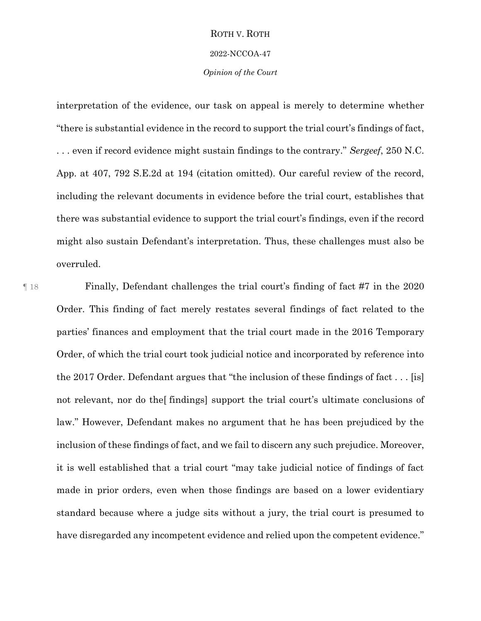#### 2022-NCCOA-47

#### *Opinion of the Court*

interpretation of the evidence, our task on appeal is merely to determine whether "there is substantial evidence in the record to support the trial court's findings of fact, . . . even if record evidence might sustain findings to the contrary." *Sergeef*, 250 N.C. App. at 407, 792 S.E.2d at 194 (citation omitted). Our careful review of the record, including the relevant documents in evidence before the trial court, establishes that there was substantial evidence to support the trial court's findings, even if the record might also sustain Defendant's interpretation. Thus, these challenges must also be overruled.

¶ 18 Finally, Defendant challenges the trial court's finding of fact #7 in the 2020 Order. This finding of fact merely restates several findings of fact related to the parties' finances and employment that the trial court made in the 2016 Temporary Order, of which the trial court took judicial notice and incorporated by reference into the 2017 Order. Defendant argues that "the inclusion of these findings of fact . . . [is] not relevant, nor do the[ findings] support the trial court's ultimate conclusions of law." However, Defendant makes no argument that he has been prejudiced by the inclusion of these findings of fact, and we fail to discern any such prejudice. Moreover, it is well established that a trial court "may take judicial notice of findings of fact made in prior orders, even when those findings are based on a lower evidentiary standard because where a judge sits without a jury, the trial court is presumed to have disregarded any incompetent evidence and relied upon the competent evidence."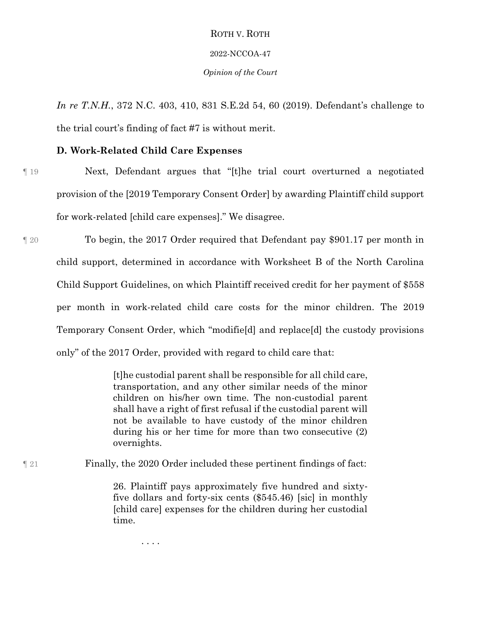#### 2022-NCCOA-47

#### *Opinion of the Court*

*In re T.N.H.*, 372 N.C. 403, 410, 831 S.E.2d 54, 60 (2019). Defendant's challenge to the trial court's finding of fact #7 is without merit.

# **D. Work-Related Child Care Expenses**

- ¶ 19 Next, Defendant argues that "[t]he trial court overturned a negotiated provision of the [2019 Temporary Consent Order] by awarding Plaintiff child support for work-related [child care expenses]." We disagree.
- ¶ 20 To begin, the 2017 Order required that Defendant pay \$901.17 per month in child support, determined in accordance with Worksheet B of the North Carolina Child Support Guidelines, on which Plaintiff received credit for her payment of \$558 per month in work-related child care costs for the minor children. The 2019 Temporary Consent Order, which "modifie[d] and replace[d] the custody provisions only" of the 2017 Order, provided with regard to child care that:

[t]he custodial parent shall be responsible for all child care, transportation, and any other similar needs of the minor children on his/her own time. The non-custodial parent shall have a right of first refusal if the custodial parent will not be available to have custody of the minor children during his or her time for more than two consecutive (2) overnights.

¶ 21 Finally, the 2020 Order included these pertinent findings of fact:

26. Plaintiff pays approximately five hundred and sixty‐ five dollars and forty‐six cents (\$545.46) [sic] in monthly [child care] expenses for the children during her custodial time.

. . . .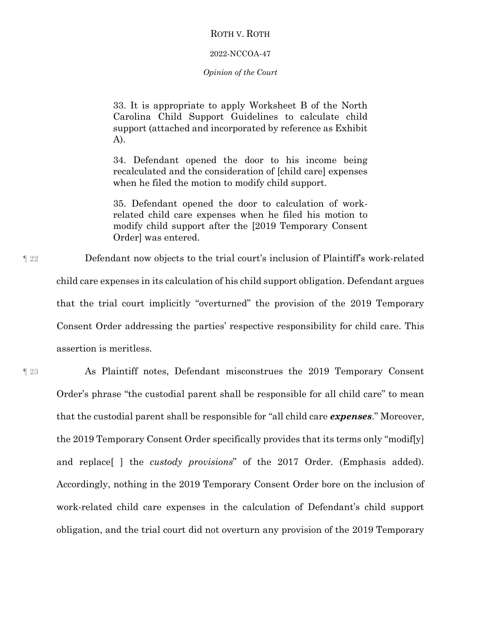#### 2022-NCCOA-47

#### *Opinion of the Court*

33. It is appropriate to apply Worksheet B of the North Carolina Child Support Guidelines to calculate child support (attached and incorporated by reference as Exhibit A).

34. Defendant opened the door to his income being recalculated and the consideration of [child care] expenses when he filed the motion to modify child support.

35. Defendant opened the door to calculation of workrelated child care expenses when he filed his motion to modify child support after the [2019 Temporary Consent Order] was entered.

¶ 22 Defendant now objects to the trial court's inclusion of Plaintiff's work-related child care expenses in its calculation of his child support obligation. Defendant argues that the trial court implicitly "overturned" the provision of the 2019 Temporary Consent Order addressing the parties' respective responsibility for child care. This assertion is meritless.

¶ 23 As Plaintiff notes, Defendant misconstrues the 2019 Temporary Consent Order's phrase "the custodial parent shall be responsible for all child care" to mean that the custodial parent shall be responsible for "all child care *expenses*." Moreover, the 2019 Temporary Consent Order specifically provides that its terms only "modif[y] and replace[ ] the *custody provisions*" of the 2017 Order. (Emphasis added). Accordingly, nothing in the 2019 Temporary Consent Order bore on the inclusion of work-related child care expenses in the calculation of Defendant's child support obligation, and the trial court did not overturn any provision of the 2019 Temporary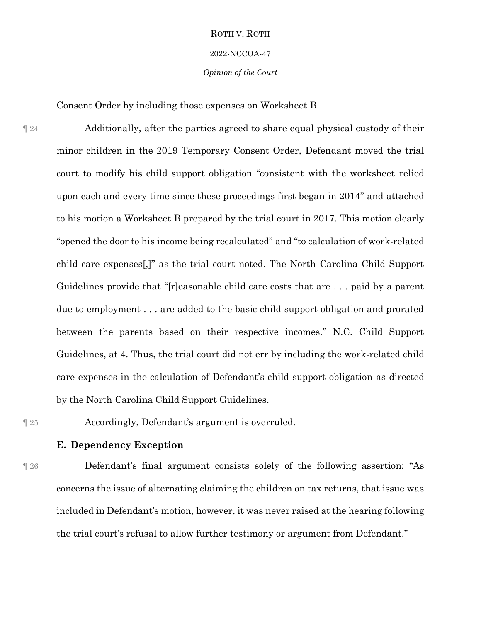#### 2022-NCCOA-47

#### *Opinion of the Court*

Consent Order by including those expenses on Worksheet B.

¶ 24 Additionally, after the parties agreed to share equal physical custody of their minor children in the 2019 Temporary Consent Order, Defendant moved the trial court to modify his child support obligation "consistent with the worksheet relied upon each and every time since these proceedings first began in 2014" and attached to his motion a Worksheet B prepared by the trial court in 2017. This motion clearly "opened the door to his income being recalculated" and "to calculation of work-related child care expenses[,]" as the trial court noted. The North Carolina Child Support Guidelines provide that "[r]easonable child care costs that are . . . paid by a parent due to employment . . . are added to the basic child support obligation and prorated between the parents based on their respective incomes." N.C. Child Support Guidelines, at 4. Thus, the trial court did not err by including the work-related child care expenses in the calculation of Defendant's child support obligation as directed by the North Carolina Child Support Guidelines.

¶ 25 Accordingly, Defendant's argument is overruled.

**E. Dependency Exception**

¶ 26 Defendant's final argument consists solely of the following assertion: "As concerns the issue of alternating claiming the children on tax returns, that issue was included in Defendant's motion, however, it was never raised at the hearing following the trial court's refusal to allow further testimony or argument from Defendant."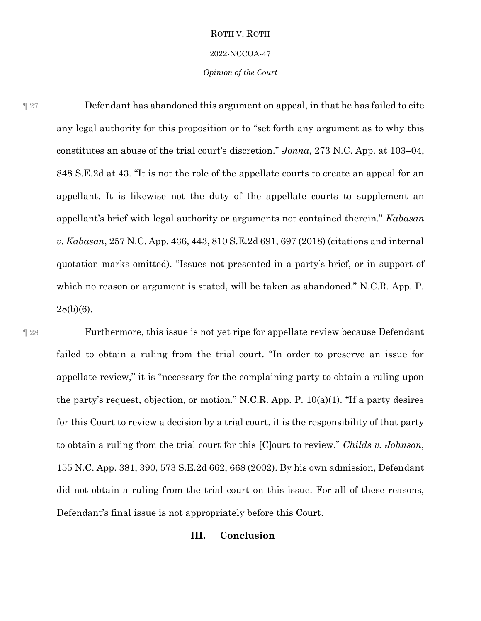#### 2022-NCCOA-47

#### *Opinion of the Court*

¶ 27 Defendant has abandoned this argument on appeal, in that he has failed to cite any legal authority for this proposition or to "set forth any argument as to why this constitutes an abuse of the trial court's discretion." *Jonna*, 273 N.C. App. at 103–04, 848 S.E.2d at 43. "It is not the role of the appellate courts to create an appeal for an appellant. It is likewise not the duty of the appellate courts to supplement an appellant's brief with legal authority or arguments not contained therein." *Kabasan v. Kabasan*, 257 N.C. App. 436, 443, 810 S.E.2d 691, 697 (2018) (citations and internal quotation marks omitted). "Issues not presented in a party's brief, or in support of which no reason or argument is stated, will be taken as abandoned." N.C.R. App. P. 28(b)(6).

¶ 28 Furthermore, this issue is not yet ripe for appellate review because Defendant failed to obtain a ruling from the trial court. "In order to preserve an issue for appellate review," it is "necessary for the complaining party to obtain a ruling upon the party's request, objection, or motion." N.C.R. App. P. 10(a)(1). "If a party desires for this Court to review a decision by a trial court, it is the responsibility of that party to obtain a ruling from the trial court for this [C]ourt to review." *Childs v. Johnson*, 155 N.C. App. 381, 390, 573 S.E.2d 662, 668 (2002). By his own admission, Defendant did not obtain a ruling from the trial court on this issue. For all of these reasons, Defendant's final issue is not appropriately before this Court. **III. Conclusion**